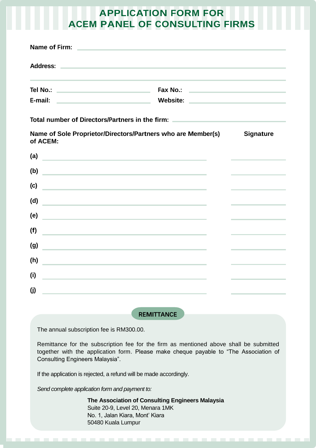## **APPLICATION FORM FOR ACEM PANEL OF CONSULTING FIRMS**

| Name of Firm:                                            | <u> 1989 - Andrea Andrew Maria (h. 1989).</u>                                                                         |                                                  |
|----------------------------------------------------------|-----------------------------------------------------------------------------------------------------------------------|--------------------------------------------------|
| <b>Address:</b>                                          | the contract of the contract of the contract of the contract of the contract of the contract of the contract of       |                                                  |
| Tel No.:<br>the control of the control of the control of | <b>Fax No.:</b>                                                                                                       | the control of the control of the control of the |
| E-mail:                                                  | <u> Alexandria de la contrada de la contrada de la contrada de la contrada de la contrada de la contrada de la co</u> |                                                  |
|                                                          | Total number of Directors/Partners in the firm:                                                                       |                                                  |
| of ACEM:                                                 | Name of Sole Proprietor/Directors/Partners who are Member(s)                                                          | <b>Signature</b>                                 |
| (a)                                                      | <u> 1980 - John Stein, Amerikaansk politiker (</u>                                                                    |                                                  |
| (b)                                                      | <u> 1980 - Johann Barn, mars et al. (b. 1980)</u>                                                                     | the control of the control of the control of     |
| (c)                                                      | <u> 1989 - Johann Barn, amerikansk politiker (d. 1989)</u>                                                            |                                                  |
| (d)                                                      | the control of the control of the control of the control of the control of                                            |                                                  |
| (e)                                                      | the control of the control of the control of the control of the control of the control of                             |                                                  |
| (f)                                                      | the control of the control of the control of the control of the control of                                            |                                                  |
| (g)                                                      | the control of the control of the control of the control of the control of the control of                             |                                                  |
| (h)                                                      |                                                                                                                       |                                                  |
| (i)                                                      | <u> 1989 - Johann John Stein, markin film yn y brenin y brenin y brenin y brenin y brenin y brenin y brenin y br</u>  |                                                  |
| (i)                                                      | <u> 1989 - Johann Barn, amerikansk politiker (</u>                                                                    |                                                  |
|                                                          | <u> 1980 - Jan Sterling von de Berling von de Berling von de Berling von de Berling von de Berling von de Berling</u> |                                                  |

**REMITTANCE**

The annual subscription fee is RM300.00.

Remittance for the subscription fee for the firm as mentioned above shall be submitted together with the application form. Please make cheque payable to "The Association of Consulting Engineers Malaysia".

If the application is rejected, a refund will be made accordingly.

*Send complete application form and payment to:*

**The Association of Consulting Engineers Malaysia** Suite 20-9, Level 20, Menara 1MK No. 1, Jalan Kiara, Mont' Kiara 50480 Kuala Lumpur